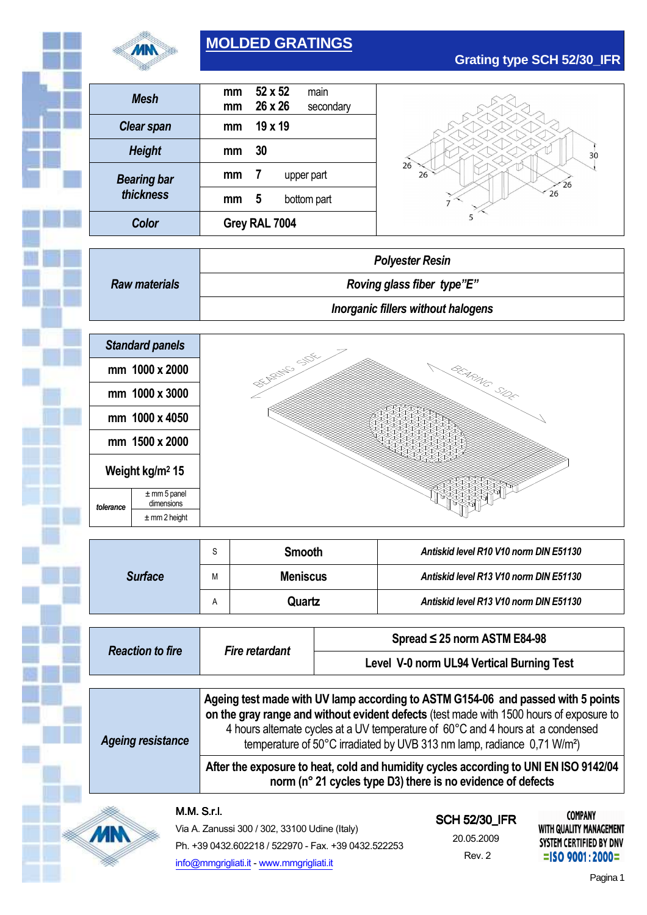

# **MOLDED GRATINGS**

| <b>Grating type SCH 52/30_IFR</b> |  |  |
|-----------------------------------|--|--|
|-----------------------------------|--|--|

| Color              | Grey RAL 7004 |         |  |             |  |
|--------------------|---------------|---------|--|-------------|--|
| thickness          | mm            | 5       |  | bottom part |  |
| <b>Bearing bar</b> | mm            | 7       |  | upper part  |  |
| <b>Height</b>      | mm            | 30      |  |             |  |
| <b>Clear span</b>  | mm            | 19 x 19 |  |             |  |
| Mesh               | mm            | 26 x 26 |  | secondary   |  |
|                    | mm            | 52 x 52 |  | main        |  |



|                      | <b>Polyester Resin</b>             |
|----------------------|------------------------------------|
| <b>Raw materials</b> | Roving glass fiber type"E"         |
|                      | Inorganic fillers without halogens |



|                | C | <b>Smooth</b>   | Antiskid level R10 V10 norm DIN E51130 |  |
|----------------|---|-----------------|----------------------------------------|--|
| <b>Surface</b> | М | <b>Meniscus</b> | Antiskid level R13 V10 norm DIN E51130 |  |
|                | А | Quartz          | Antiskid level R13 V10 norm DIN E51130 |  |

| <b>Reaction to fire</b>  |                                                                                                                                                                                                                                                                                                                                                       | Spread $\leq$ 25 norm ASTM E84-98         |  |
|--------------------------|-------------------------------------------------------------------------------------------------------------------------------------------------------------------------------------------------------------------------------------------------------------------------------------------------------------------------------------------------------|-------------------------------------------|--|
|                          | <b>Fire retardant</b>                                                                                                                                                                                                                                                                                                                                 | Level V-0 norm UL94 Vertical Burning Test |  |
|                          |                                                                                                                                                                                                                                                                                                                                                       |                                           |  |
| <b>Ageing resistance</b> | Ageing test made with UV lamp according to ASTM G154-06 and passed with 5 points<br>on the gray range and without evident defects (test made with 1500 hours of exposure to<br>4 hours alternate cycles at a UV temperature of 60°C and 4 hours at a condensed<br>temperature of 50°C irradiated by UVB 313 nm lamp, radiance 0,71 W/m <sup>2</sup> ) |                                           |  |
|                          | After the exposure to heat, cold and humidity cycles according to UNI EN ISO 9142/04<br>norm (n° 21 cycles type D3) there is no evidence of defects                                                                                                                                                                                                   |                                           |  |

#### M.M.S.r.l.

**MN** 

| Via A. Zanussi 300 / 302, 33100 Udine (Italy)       |
|-----------------------------------------------------|
| Ph. +39 0432.602218 / 522970 - Fax. +39 0432.522253 |
| info@mmgrigliati.it - www.mmgrigliati.it            |

# SCH 52/30\_IFR

20.05.2009 Rev. 2

**COMPANY** WITH QUALITY MANAGEMENT SYSTEM CERTIFIED BY DNV  $=$ ISO 9001:2000=